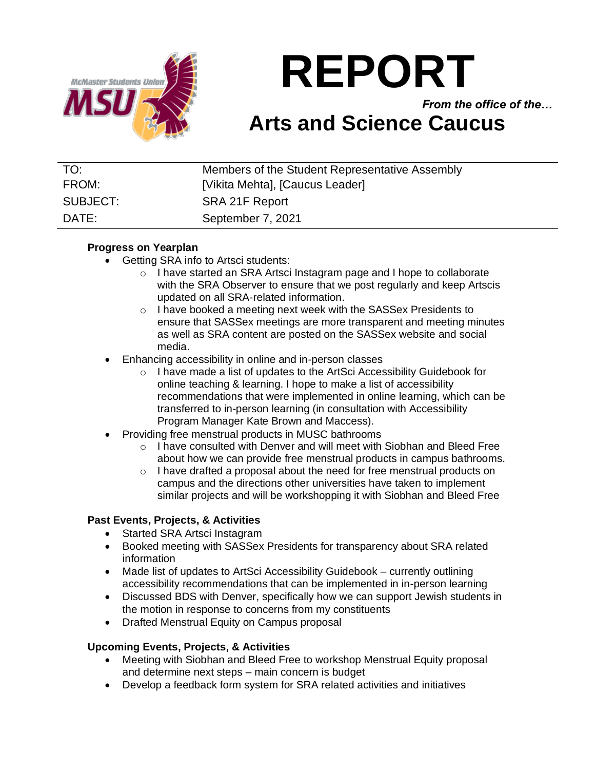

# **REPORT**

*From the office of the…*

# **Arts and Science Caucus**

| TO:      | Members of the Student Representative Assembly |
|----------|------------------------------------------------|
| FROM:    | [Vikita Mehta], [Caucus Leader]                |
| SUBJECT: | SRA 21F Report                                 |
| DATE:    | September 7, 2021                              |

## **Progress on Yearplan**

- Getting SRA info to Artsci students:
	- o I have started an SRA Artsci Instagram page and I hope to collaborate with the SRA Observer to ensure that we post regularly and keep Artscis updated on all SRA-related information.
	- o I have booked a meeting next week with the SASSex Presidents to ensure that SASSex meetings are more transparent and meeting minutes as well as SRA content are posted on the SASSex website and social media.
- Enhancing accessibility in online and in-person classes
	- o I have made a list of updates to the ArtSci Accessibility Guidebook for online teaching & learning. I hope to make a list of accessibility recommendations that were implemented in online learning, which can be transferred to in-person learning (in consultation with Accessibility Program Manager Kate Brown and Maccess).
- Providing free menstrual products in MUSC bathrooms
	- o I have consulted with Denver and will meet with Siobhan and Bleed Free about how we can provide free menstrual products in campus bathrooms.
	- o I have drafted a proposal about the need for free menstrual products on campus and the directions other universities have taken to implement similar projects and will be workshopping it with Siobhan and Bleed Free

# **Past Events, Projects, & Activities**

- Started SRA Artsci Instagram
- Booked meeting with SASSex Presidents for transparency about SRA related information
- Made list of updates to ArtSci Accessibility Guidebook currently outlining accessibility recommendations that can be implemented in in-person learning
- Discussed BDS with Denver, specifically how we can support Jewish students in the motion in response to concerns from my constituents
- Drafted Menstrual Equity on Campus proposal

### **Upcoming Events, Projects, & Activities**

- Meeting with Siobhan and Bleed Free to workshop Menstrual Equity proposal and determine next steps – main concern is budget
- Develop a feedback form system for SRA related activities and initiatives